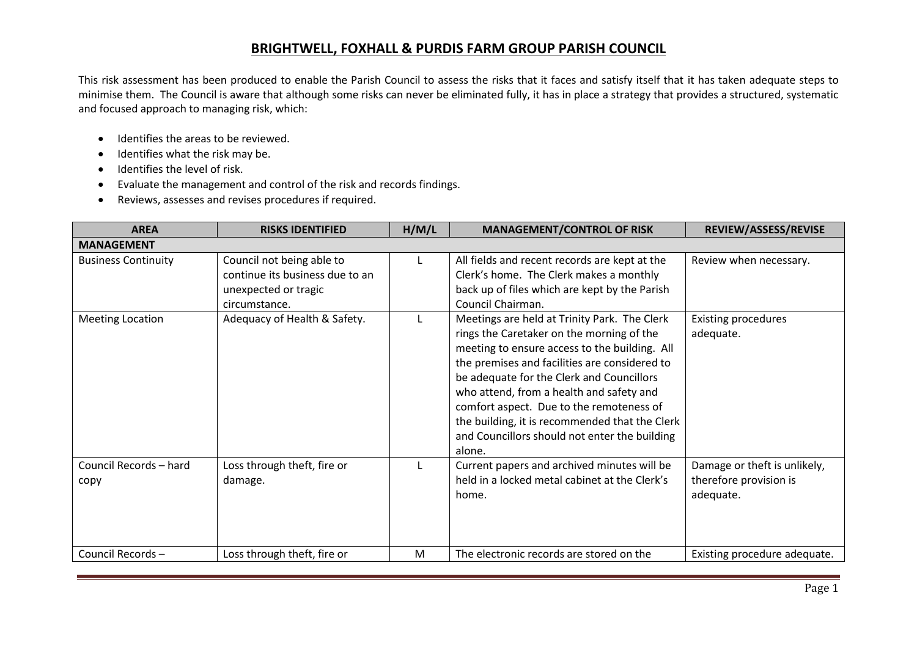## **BRIGHTWELL, FOXHALL & PURDIS FARM GROUP PARISH COUNCIL**

This risk assessment has been produced to enable the Parish Council to assess the risks that it faces and satisfy itself that it has taken adequate steps to minimise them. The Council is aware that although some risks can never be eliminated fully, it has in place a strategy that provides a structured, systematic and focused approach to managing risk, which:

- Identifies the areas to be reviewed.
- Identifies what the risk may be.
- Identifies the level of risk.
- Evaluate the management and control of the risk and records findings.
- Reviews, assesses and revises procedures if required.

| <b>AREA</b>                    | <b>RISKS IDENTIFIED</b>                                                                               | H/M/L | <b>MANAGEMENT/CONTROL OF RISK</b>                                                                                                                                                                                                                                                                                                                                                                                                             | REVIEW/ASSESS/REVISE                                                |  |  |  |  |
|--------------------------------|-------------------------------------------------------------------------------------------------------|-------|-----------------------------------------------------------------------------------------------------------------------------------------------------------------------------------------------------------------------------------------------------------------------------------------------------------------------------------------------------------------------------------------------------------------------------------------------|---------------------------------------------------------------------|--|--|--|--|
| <b>MANAGEMENT</b>              |                                                                                                       |       |                                                                                                                                                                                                                                                                                                                                                                                                                                               |                                                                     |  |  |  |  |
| <b>Business Continuity</b>     | Council not being able to<br>continue its business due to an<br>unexpected or tragic<br>circumstance. |       | All fields and recent records are kept at the<br>Clerk's home. The Clerk makes a monthly<br>back up of files which are kept by the Parish<br>Council Chairman.                                                                                                                                                                                                                                                                                | Review when necessary.                                              |  |  |  |  |
| <b>Meeting Location</b>        | Adequacy of Health & Safety.                                                                          |       | Meetings are held at Trinity Park. The Clerk<br>rings the Caretaker on the morning of the<br>meeting to ensure access to the building. All<br>the premises and facilities are considered to<br>be adequate for the Clerk and Councillors<br>who attend, from a health and safety and<br>comfort aspect. Due to the remoteness of<br>the building, it is recommended that the Clerk<br>and Councillors should not enter the building<br>alone. | <b>Existing procedures</b><br>adequate.                             |  |  |  |  |
| Council Records - hard<br>copy | Loss through theft, fire or<br>damage.                                                                |       | Current papers and archived minutes will be<br>held in a locked metal cabinet at the Clerk's<br>home.                                                                                                                                                                                                                                                                                                                                         | Damage or theft is unlikely,<br>therefore provision is<br>adequate. |  |  |  |  |
| Council Records-               | Loss through theft, fire or                                                                           | M     | The electronic records are stored on the                                                                                                                                                                                                                                                                                                                                                                                                      | Existing procedure adequate.                                        |  |  |  |  |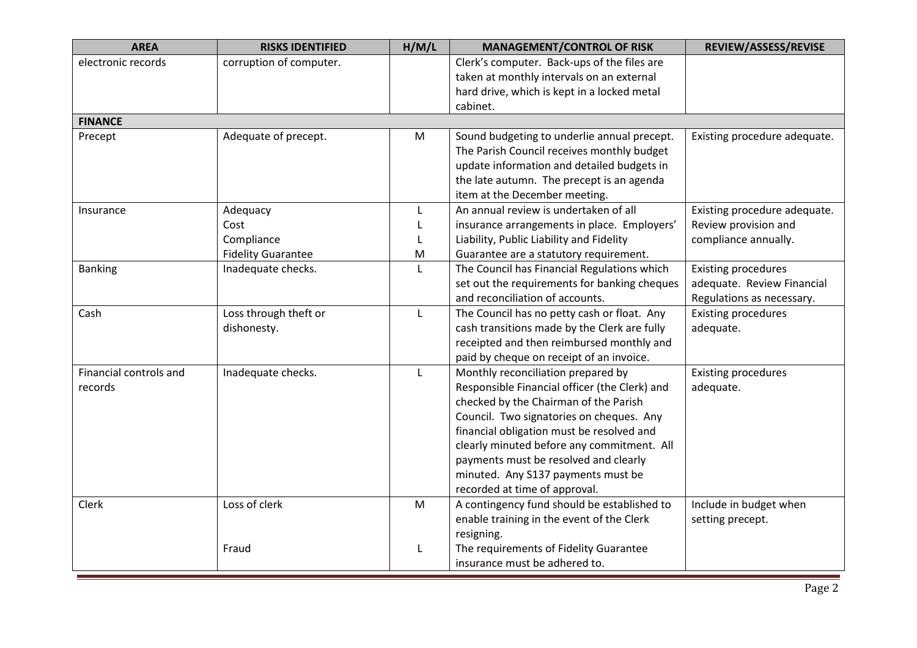| <b>AREA</b>            | <b>RISKS IDENTIFIED</b>   | H/M/L        | <b>MANAGEMENT/CONTROL OF RISK</b>             | REVIEW/ASSESS/REVISE         |
|------------------------|---------------------------|--------------|-----------------------------------------------|------------------------------|
| electronic records     | corruption of computer.   |              | Clerk's computer. Back-ups of the files are   |                              |
|                        |                           |              | taken at monthly intervals on an external     |                              |
|                        |                           |              | hard drive, which is kept in a locked metal   |                              |
|                        |                           |              | cabinet.                                      |                              |
| <b>FINANCE</b>         |                           |              |                                               |                              |
| Precept                | Adequate of precept.      | M            | Sound budgeting to underlie annual precept.   | Existing procedure adequate. |
|                        |                           |              | The Parish Council receives monthly budget    |                              |
|                        |                           |              | update information and detailed budgets in    |                              |
|                        |                           |              | the late autumn. The precept is an agenda     |                              |
|                        |                           |              | item at the December meeting.                 |                              |
| Insurance              | Adequacy                  |              | An annual review is undertaken of all         | Existing procedure adequate. |
|                        | Cost                      |              | insurance arrangements in place. Employers'   | Review provision and         |
|                        | Compliance                |              | Liability, Public Liability and Fidelity      | compliance annually.         |
|                        | <b>Fidelity Guarantee</b> | M            | Guarantee are a statutory requirement.        |                              |
| <b>Banking</b>         | Inadequate checks.        | L            | The Council has Financial Regulations which   | <b>Existing procedures</b>   |
|                        |                           |              | set out the requirements for banking cheques  | adequate. Review Financial   |
|                        |                           |              | and reconciliation of accounts.               | Regulations as necessary.    |
| Cash                   | Loss through theft or     | L            | The Council has no petty cash or float. Any   | <b>Existing procedures</b>   |
|                        | dishonesty.               |              | cash transitions made by the Clerk are fully  | adequate.                    |
|                        |                           |              | receipted and then reimbursed monthly and     |                              |
|                        |                           |              | paid by cheque on receipt of an invoice.      |                              |
| Financial controls and | Inadequate checks.        | $\mathbf{L}$ | Monthly reconciliation prepared by            | <b>Existing procedures</b>   |
| records                |                           |              | Responsible Financial officer (the Clerk) and | adequate.                    |
|                        |                           |              | checked by the Chairman of the Parish         |                              |
|                        |                           |              | Council. Two signatories on cheques. Any      |                              |
|                        |                           |              | financial obligation must be resolved and     |                              |
|                        |                           |              | clearly minuted before any commitment. All    |                              |
|                        |                           |              | payments must be resolved and clearly         |                              |
|                        |                           |              | minuted. Any S137 payments must be            |                              |
|                        |                           |              | recorded at time of approval.                 |                              |
| Clerk                  | Loss of clerk             | M            | A contingency fund should be established to   | Include in budget when       |
|                        |                           |              | enable training in the event of the Clerk     | setting precept.             |
|                        |                           |              | resigning.                                    |                              |
|                        | Fraud                     | $\mathbf{L}$ | The requirements of Fidelity Guarantee        |                              |
|                        |                           |              | insurance must be adhered to.                 |                              |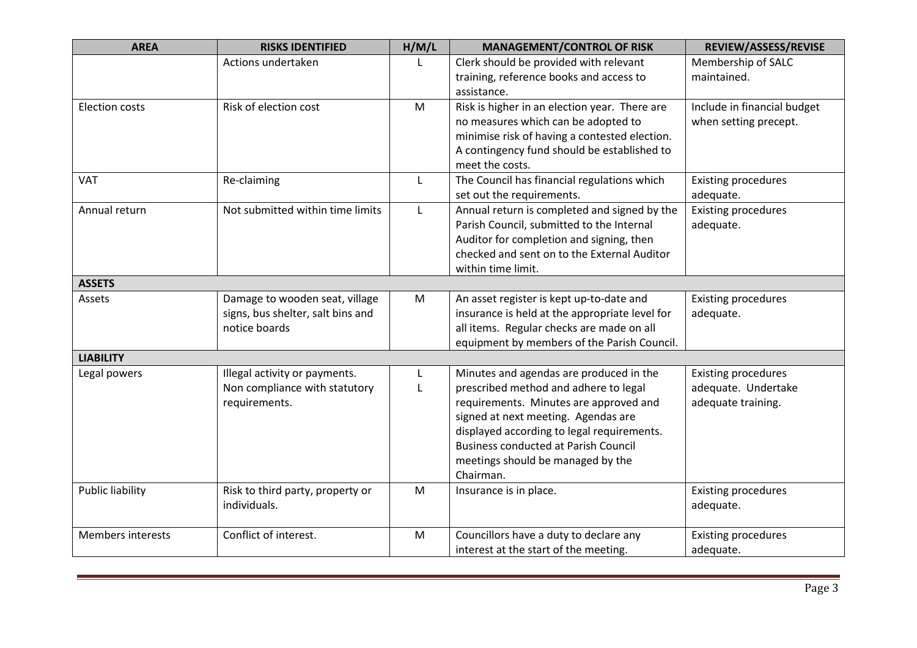| <b>AREA</b>             | <b>RISKS IDENTIFIED</b>           | H/M/L     | <b>MANAGEMENT/CONTROL OF RISK</b>              | REVIEW/ASSESS/REVISE        |
|-------------------------|-----------------------------------|-----------|------------------------------------------------|-----------------------------|
|                         | Actions undertaken                |           | Clerk should be provided with relevant         | Membership of SALC          |
|                         |                                   |           | training, reference books and access to        | maintained.                 |
|                         |                                   |           | assistance.                                    |                             |
| <b>Election costs</b>   | Risk of election cost             | M         | Risk is higher in an election year. There are  | Include in financial budget |
|                         |                                   |           | no measures which can be adopted to            | when setting precept.       |
|                         |                                   |           | minimise risk of having a contested election.  |                             |
|                         |                                   |           | A contingency fund should be established to    |                             |
|                         |                                   |           | meet the costs.                                |                             |
| VAT                     | Re-claiming                       | L         | The Council has financial regulations which    | <b>Existing procedures</b>  |
|                         |                                   |           | set out the requirements.                      | adequate.                   |
| Annual return           | Not submitted within time limits  | L         | Annual return is completed and signed by the   | <b>Existing procedures</b>  |
|                         |                                   |           | Parish Council, submitted to the Internal      | adequate.                   |
|                         |                                   |           | Auditor for completion and signing, then       |                             |
|                         |                                   |           | checked and sent on to the External Auditor    |                             |
|                         |                                   |           | within time limit.                             |                             |
| <b>ASSETS</b>           |                                   |           |                                                |                             |
| Assets                  | Damage to wooden seat, village    | M         | An asset register is kept up-to-date and       | <b>Existing procedures</b>  |
|                         | signs, bus shelter, salt bins and |           | insurance is held at the appropriate level for | adequate.                   |
|                         | notice boards                     |           | all items. Regular checks are made on all      |                             |
|                         |                                   |           | equipment by members of the Parish Council.    |                             |
| <b>LIABILITY</b>        |                                   |           |                                                |                             |
| Legal powers            | Illegal activity or payments.     | L         | Minutes and agendas are produced in the        | <b>Existing procedures</b>  |
|                         | Non compliance with statutory     | L         | prescribed method and adhere to legal          | adequate. Undertake         |
|                         | requirements.                     |           | requirements. Minutes are approved and         | adequate training.          |
|                         |                                   |           | signed at next meeting. Agendas are            |                             |
|                         |                                   |           | displayed according to legal requirements.     |                             |
|                         |                                   |           | <b>Business conducted at Parish Council</b>    |                             |
|                         |                                   |           | meetings should be managed by the              |                             |
|                         |                                   |           | Chairman.                                      |                             |
| <b>Public liability</b> | Risk to third party, property or  | M         | Insurance is in place.                         | <b>Existing procedures</b>  |
|                         | individuals.                      |           |                                                | adequate.                   |
|                         |                                   |           |                                                |                             |
| Members interests       | Conflict of interest.             | ${\sf M}$ | Councillors have a duty to declare any         | <b>Existing procedures</b>  |
|                         |                                   |           | interest at the start of the meeting.          | adequate.                   |